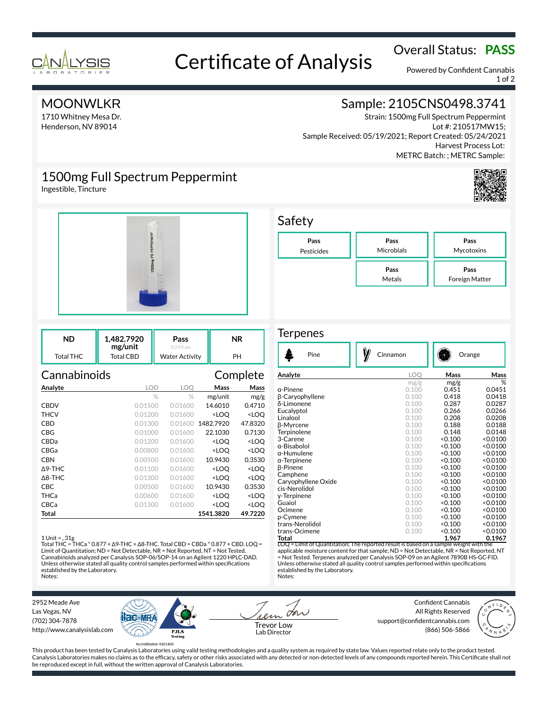

# Overall Status: **PASS**<br>Certificate of Analysis

Powered by Confident Cannabis 1 of 2

## **MOONWLKR**

1710 Whitney Mesa Dr. Henderson, NV 89014

# Sample: 2105CNS0498.3741

Strain: 1500mg Full Spectrum Peppermint Lot #: 210517MW15; Sample Received: 05/19/2021; Report Created: 05/24/2021 Harvest Process Lot: METRC Batch: ; METRC Sample:

# 1500mg Full Spectrum Peppermint

Ingestible, Tincture



| ND        | 1.482.7920<br>mg/unit | Pass<br>$0.294$ aw    | <b>NR</b> |
|-----------|-----------------------|-----------------------|-----------|
| Total THC | Total CBD             | <b>Water Activity</b> | PH        |

| Cannabinoids      |            |         |                                                 | Complete            |
|-------------------|------------|---------|-------------------------------------------------|---------------------|
| Analyte           | <b>LOD</b> | LOO     | Mass                                            | Mass                |
|                   | $\%$       | $\%$    | mg/unit                                         | mg/g                |
| <b>CBDV</b>       | 0.01500    | 0.01600 | 14.6010                                         | 0.4710              |
| THCV              | 0.01200    | 0.01600 | <loo< th=""><th><loq< th=""></loq<></th></loo<> | <loq< th=""></loq<> |
| CBD               | 0.01300    | 0.01600 | 1482.7920                                       | 47.8320             |
| CBG               | 0.01000    | 0.01600 | 22.1030                                         | 0.7130              |
| CBDa              | 0.01200    | 0.01600 | <loq< th=""><th><loo< th=""></loo<></th></loq<> | <loo< th=""></loo<> |
| CBGa              | 0.00800    | 0.01600 | <loo< th=""><th><loo< th=""></loo<></th></loo<> | <loo< th=""></loo<> |
| CBN               | 0.00500    | 0.01600 | 10.9430                                         | 0.3530              |
| $\Delta$ 9-THC    | 0.01100    | 0.01600 | <loq< th=""><th><loq< th=""></loq<></th></loq<> | <loq< th=""></loq<> |
| $\triangle$ 8-THC | 0.01300    | 0.01600 | <loo< th=""><th><loo< th=""></loo<></th></loo<> | <loo< th=""></loo<> |
| CBC               | 0.00500    | 0.01600 | 10.9430                                         | 0.3530              |
| THCa              | 0.00600    | 0.01600 | <loq< th=""><th><loq< th=""></loq<></th></loq<> | <loq< th=""></loq<> |
| CBCa              | 0.01300    | 0.01600 | <loo< th=""><th><loq< th=""></loq<></th></loo<> | <loq< th=""></loq<> |
| Total             |            |         | 1541.3820                                       | 49.7220             |

### 1 Unit = , 31g

Total THC = THCa \* 0.877 + ∆9-THC + ∆8-THC. Total CBD = CBDa \* 0.877 + CBD. LOQ = Limit of Quantitation; ND = Not Detectable, NR = Not Reported, NT = Not Tested. Cannabinoids analyzed per Canalysis SOP-06/SOP-14 on an Agilent 1220 HPLC-DAD. Unless otherwise stated all quality control samples performed within specifications established by the Laboratory. Notes:



### **Terpenes**

| Pine                                                                                  | Cinnamon |         | Orange   |  |
|---------------------------------------------------------------------------------------|----------|---------|----------|--|
| Analyte                                                                               | LOO      | Mass    | Mass     |  |
|                                                                                       | mg/g     | mg/g    | %        |  |
| α-Pinene                                                                              | 0.100    | 0.451   | 0.0451   |  |
| β-Caryophyllene                                                                       | 0.100    | 0.418   | 0.0418   |  |
| δ-Limonene                                                                            | 0.100    | 0.287   | 0.0287   |  |
| Eucalyptol                                                                            | 0.100    | 0.266   | 0.0266   |  |
| Linalool                                                                              | 0.100    | 0.208   | 0.0208   |  |
| β-Myrcene                                                                             | 0.100    | 0.188   | 0.0188   |  |
| Terpinolene                                                                           | 0.100    | 0.148   | 0.0148   |  |
| 3-Carene                                                                              | 0.100    | < 0.100 | < 0.0100 |  |
| α-Bisabolol                                                                           | 0.100    | < 0.100 | < 0.0100 |  |
| α-Humulene                                                                            | 0.100    | < 0.100 | < 0.0100 |  |
| $\alpha$ -Terpinene                                                                   | 0.100    | < 0.100 | < 0.0100 |  |
| <b>B-Pinene</b>                                                                       | 0.100    | < 0.100 | < 0.0100 |  |
| Camphene                                                                              | 0.100    | < 0.100 | < 0.0100 |  |
| Caryophyllene Oxide                                                                   | 0.100    | < 0.100 | < 0.0100 |  |
| cis-Nerolidol                                                                         | 0.100    | < 0.100 | < 0.0100 |  |
| y-Terpinene                                                                           | 0.100    | < 0.100 | < 0.0100 |  |
| Guaiol                                                                                | 0.100    | < 0.100 | < 0.0100 |  |
| Ocimene                                                                               | 0.100    | < 0.100 | < 0.0100 |  |
| p-Cymene                                                                              | 0.100    | < 0.100 | < 0.0100 |  |
| trans-Nerolidol                                                                       | 0.100    | < 0.100 | < 0.0100 |  |
| trans-Ocimene                                                                         | 0.100    | 0.100   | < 0.0100 |  |
| Total                                                                                 |          | 1.967   | 0.1967   |  |
| LOQ = Limit of Quantitation; The reported result is based on a sample weight with the |          |         |          |  |

applicable moisture content for that sample; ND = Not Detectable, NR = Not Reported, NT = Not Tested. Terpenes analyzed per Canalysis SOP-09 on an Agilent 7890B HS-GC-FID. Unless otherwise stated all quality control samples performed within specifications established by the Laboratory. Notes:

2952 Meade Ave Las Vegas, NV (702) 304-7878 http://www.canalysislab.com



on Lab Director

Confident Cannabis All Rights Reserved support@confidentcannabis.com Support@commentealmabis.com<br>| 1 ab Director (866) 506-5866



This product has been tested by Canalysis Laboratories using valid testing methodologies and a quality system as required by state law. Values reported relate only to the product tested. Canalysis Laboratories makes no claims as to the efficacy, safety or other risks associated with any detected or non-detected levels of any compounds reported herein. This Certificate shall not be reproduced except in full, without the written approval of Canalysis Laboratories.

# Safety